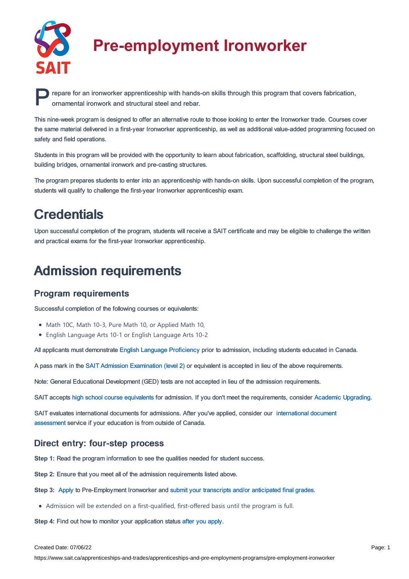

# **Pre-employment Ironworker**

**P** repare for an ironworker apprenticeship with hands-on skills through this program that covers fabrication, ornamental ironwork and structural steel and rebar. ornamental ironwork and structural steel and rebar.

This nine-week program is designed to offer an alternative route to those looking to enter the Ironworker trade. Courses cover the same material delivered in a first-year Ironworker apprenticeship, as well as additional value-added programming focused on safety and field operations.

Students in this program will be provided with the opportunity to learn about fabrication, scaffolding, structural steel buildings, building bridges, ornamental ironwork and pre-casting structures.

The program prepares students to enter into an apprenticeship with hands-on skills. Upon successful completion of the program, students will qualify to challenge the first-year Ironworker apprenticeship exam.

## **Credentials**

Upon successful completion of the program, students will receive a SAIT certificate and may be eligible to challenge the written and practical exams for the first-year Ironworker apprenticeship.

### Admission requirements

#### Program requirements

Successful completion of the following courses or equivalents:

- Math 10C, Math 10-3, Pure Math 10, or Applied Math 10,
- English Language Arts 10-1 or English Language Arts 10-2

All applicants must demonstrate English Language [Proficiency](https://www.sait.ca/pages/admissions/before-you-apply/english-proficiency/english-proficiency) prior to admission, including students educated in Canada.

A pass mark in the SAIT Admission [Examination](https://www.sait.ca/pages/student-life/learner-services/testing-services) (level 2) or equivalent is accepted in lieu of the above requirements.

Note: General Educational Development (GED) tests are not accepted in lieu of the admission requirements.

SAIT accepts high school course [equivalents](https://www.sait.ca/pages/admissions/before-you-apply/high-school-course-equivalencies) for admission. If you don't meet the requirements, consider Academic [Upgrading.](https://www.sait.ca/pages/programs-and-courses/academic-upgrading)

SAIT evaluates [international](https://www.sait.ca/pages/admissions/after-you-apply/international-document-assessment) documents for admissions. After you've applied, consider our international document assessment service if your education is from outside of Canada.

#### Direct entry: four-step process

**Step 1:** Read the program information to see the qualities needed for student success.

**Step 2:** Ensure that you meet all of the admission requirements listed above.

**Step 3:** [Apply](https://www.sait.ca/pages/admissions/apply) to Pre-Employment Ironworker and submit your transcripts and/or [anticipated](https://www.sait.ca/pages/admissions/after-you-apply/transcripts-and-supporting-documents) final grades.

Admission will be extended on a first-qualified, first-offered basis until the program is full.

**Step 4:** Find out how to monitor your application status after you [apply](https://www.sait.ca/pages/admissions/after-you-apply/tracking-your-application).

#### Created Date: 07/06/22